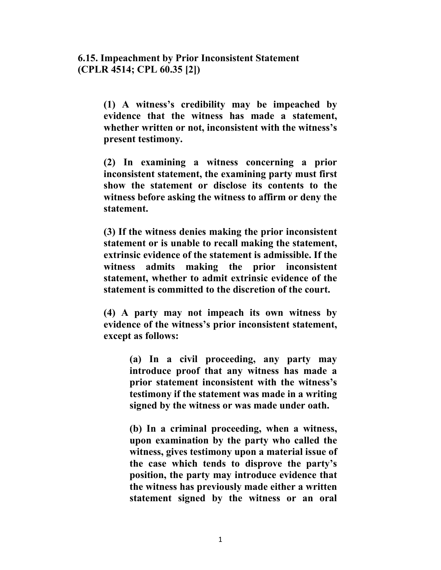**6.15. Impeachment by Prior Inconsistent Statement (CPLR 4514; CPL 60.35 [2])** 

> **(1) A witness's credibility may be impeached by evidence that the witness has made a statement, whether written or not, inconsistent with the witness's present testimony.**

> **(2) In examining a witness concerning a prior inconsistent statement, the examining party must first show the statement or disclose its contents to the witness before asking the witness to affirm or deny the statement.**

> **(3) If the witness denies making the prior inconsistent statement or is unable to recall making the statement, extrinsic evidence of the statement is admissible. If the witness admits making the prior inconsistent statement, whether to admit extrinsic evidence of the statement is committed to the discretion of the court.**

> **(4) A party may not impeach its own witness by evidence of the witness's prior inconsistent statement, except as follows:**

> > **(a) In a civil proceeding, any party may introduce proof that any witness has made a prior statement inconsistent with the witness's testimony if the statement was made in a writing signed by the witness or was made under oath.**

> > **(b) In a criminal proceeding, when a witness, upon examination by the party who called the witness, gives testimony upon a material issue of the case which tends to disprove the party's position, the party may introduce evidence that the witness has previously made either a written statement signed by the witness or an oral**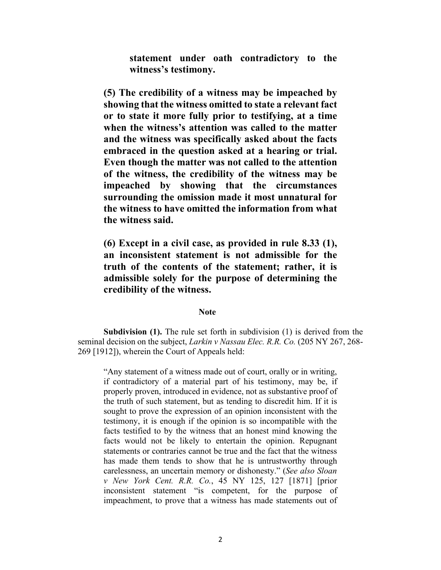**statement under oath contradictory to the witness's testimony.** 

**(5) The credibility of a witness may be impeached by showing that the witness omitted to state a relevant fact or to state it more fully prior to testifying, at a time when the witness's attention was called to the matter and the witness was specifically asked about the facts embraced in the question asked at a hearing or trial. Even though the matter was not called to the attention of the witness, the credibility of the witness may be impeached by showing that the circumstances surrounding the omission made it most unnatural for the witness to have omitted the information from what the witness said.** 

**(6) Except in a civil case, as provided in rule 8.33 (1), an inconsistent statement is not admissible for the truth of the contents of the statement; rather, it is admissible solely for the purpose of determining the credibility of the witness.** 

## **Note**

**Subdivision (1).** The rule set forth in subdivision (1) is derived from the seminal decision on the subject, *Larkin v Nassau Elec. R.R. Co.* (205 NY 267, 268- 269 [1912]), wherein the Court of Appeals held:

"Any statement of a witness made out of court, orally or in writing, if contradictory of a material part of his testimony, may be, if properly proven, introduced in evidence, not as substantive proof of the truth of such statement, but as tending to discredit him. If it is sought to prove the expression of an opinion inconsistent with the testimony, it is enough if the opinion is so incompatible with the facts testified to by the witness that an honest mind knowing the facts would not be likely to entertain the opinion. Repugnant statements or contraries cannot be true and the fact that the witness has made them tends to show that he is untrustworthy through carelessness, an uncertain memory or dishonesty." (*See also Sloan v New York Cent. R.R. Co.*, 45 NY 125, 127 [1871] [prior inconsistent statement "is competent, for the purpose of impeachment, to prove that a witness has made statements out of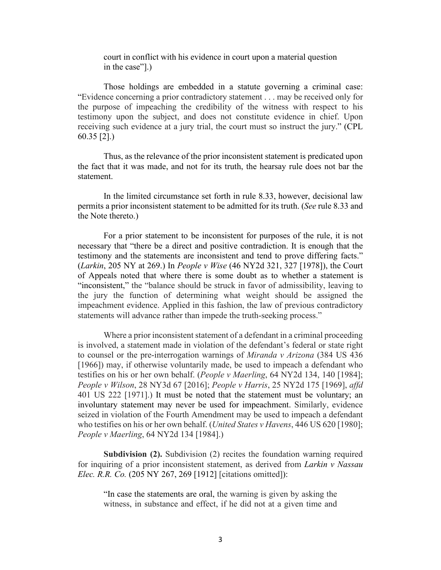court in conflict with his evidence in court upon a material question in the case"].)

Those holdings are embedded in a statute governing a criminal case: "Evidence concerning a prior contradictory statement . . . may be received only for the purpose of impeaching the credibility of the witness with respect to his testimony upon the subject, and does not constitute evidence in chief. Upon receiving such evidence at a jury trial, the court must so instruct the jury." (CPL 60.35 [2].)

Thus, as the relevance of the prior inconsistent statement is predicated upon the fact that it was made, and not for its truth, the hearsay rule does not bar the statement.

In the limited circumstance set forth in rule 8.33, however, decisional law permits a prior inconsistent statement to be admitted for its truth. (*See* rule 8.33 and the Note thereto.)

For a prior statement to be inconsistent for purposes of the rule, it is not necessary that "there be a direct and positive contradiction. It is enough that the testimony and the statements are inconsistent and tend to prove differing facts." (*Larkin*, 205 NY at 269.) In *People v Wise* (46 NY2d 321, 327 [1978]), the Court of Appeals noted that where there is some doubt as to whether a statement is "inconsistent," the "balance should be struck in favor of admissibility, leaving to the jury the function of determining what weight should be assigned the impeachment evidence. Applied in this fashion, the law of previous contradictory statements will advance rather than impede the truth-seeking process."

Where a prior inconsistent statement of a defendant in a criminal proceeding is involved, a statement made in violation of the defendant's federal or state right to counsel or the pre-interrogation warnings of *Miranda v Arizona* (384 US 436 [1966]) may, if otherwise voluntarily made, be used to impeach a defendant who testifies on his or her own behalf. (*People v Maerling*, 64 NY2d 134, 140 [1984]; *People v Wilson*, 28 NY3d 67 [2016]; *People v Harris*, 25 NY2d 175 [1969], *affd* 401 US 222 [1971].) It must be noted that the statement must be voluntary; an involuntary statement may never be used for impeachment. Similarly, evidence seized in violation of the Fourth Amendment may be used to impeach a defendant who testifies on his or her own behalf. (*United States v Havens*, 446 US 620 [1980]; *People v Maerling*, 64 NY2d 134 [1984].)

**Subdivision (2).** Subdivision (2) recites the foundation warning required for inquiring of a prior inconsistent statement, as derived from *Larkin v Nassau Elec. R.R. Co.* (205 NY 267, 269 [1912] [citations omitted]):

"In case the statements are oral, the warning is given by asking the witness, in substance and effect, if he did not at a given time and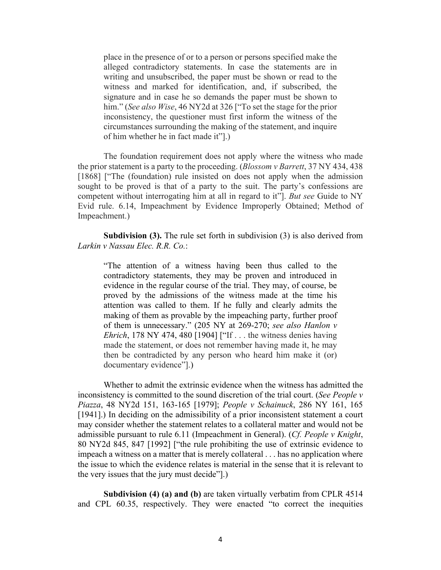place in the presence of or to a person or persons specified make the alleged contradictory statements. In case the statements are in writing and unsubscribed, the paper must be shown or read to the witness and marked for identification, and, if subscribed, the signature and in case he so demands the paper must be shown to him." (*See also Wise*, 46 NY2d at 326 ["To set the stage for the prior inconsistency, the questioner must first inform the witness of the circumstances surrounding the making of the statement, and inquire of him whether he in fact made it"].)

The foundation requirement does not apply where the witness who made the prior statement is a party to the proceeding. (*Blossom v Barrett*, 37 NY 434, 438 [1868] ["The (foundation) rule insisted on does not apply when the admission sought to be proved is that of a party to the suit. The party's confessions are competent without interrogating him at all in regard to it"]. *But see* Guide to NY Evid rule. 6.14, Impeachment by Evidence Improperly Obtained; Method of Impeachment.)

**Subdivision (3).** The rule set forth in subdivision (3) is also derived from *Larkin v Nassau Elec. R.R. Co.*:

"The attention of a witness having been thus called to the contradictory statements, they may be proven and introduced in evidence in the regular course of the trial. They may, of course, be proved by the admissions of the witness made at the time his attention was called to them. If he fully and clearly admits the making of them as provable by the impeaching party, further proof of them is unnecessary." (205 NY at 269-270; *see also Hanlon v Ehrich*, 178 NY 474, 480 [1904] ["If . . . the witness denies having made the statement, or does not remember having made it, he may then be contradicted by any person who heard him make it (or) documentary evidence"].)

Whether to admit the extrinsic evidence when the witness has admitted the inconsistency is committed to the sound discretion of the trial court. (*See People v Piazza*, 48 NY2d 151, 163-165 [1979]; *People v Schainuck*, 286 NY 161, 165 [1941].) In deciding on the admissibility of a prior inconsistent statement a court may consider whether the statement relates to a collateral matter and would not be admissible pursuant to rule 6.11 (Impeachment in General). (*Cf. People v Knight*, 80 NY2d 845, 847 [1992] ["the rule prohibiting the use of extrinsic evidence to impeach a witness on a matter that is merely collateral . . . has no application where the issue to which the evidence relates is material in the sense that it is relevant to the very issues that the jury must decide"].)

**Subdivision (4) (a) and (b)** are taken virtually verbatim from CPLR 4514 and CPL 60.35, respectively. They were enacted "to correct the inequities